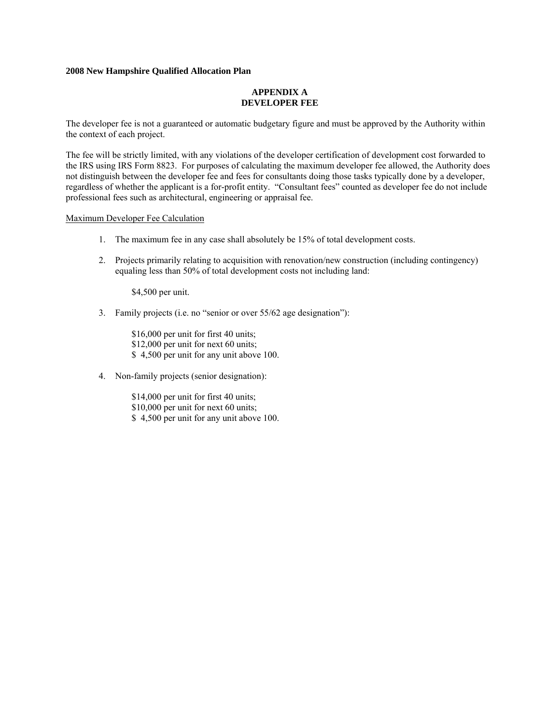#### **APPENDIX A DEVELOPER FEE**

The developer fee is not a guaranteed or automatic budgetary figure and must be approved by the Authority within the context of each project.

The fee will be strictly limited, with any violations of the developer certification of development cost forwarded to the IRS using IRS Form 8823. For purposes of calculating the maximum developer fee allowed, the Authority does not distinguish between the developer fee and fees for consultants doing those tasks typically done by a developer, regardless of whether the applicant is a for-profit entity. "Consultant fees" counted as developer fee do not include professional fees such as architectural, engineering or appraisal fee.

#### Maximum Developer Fee Calculation

- 1. The maximum fee in any case shall absolutely be 15% of total development costs.
- 2. Projects primarily relating to acquisition with renovation/new construction (including contingency) equaling less than 50% of total development costs not including land:

\$4,500 per unit.

3. Family projects (i.e. no "senior or over 55/62 age designation"):

\$16,000 per unit for first 40 units; \$12,000 per unit for next 60 units; \$ 4,500 per unit for any unit above 100.

4. Non-family projects (senior designation):

\$14,000 per unit for first 40 units; \$10,000 per unit for next 60 units; \$ 4,500 per unit for any unit above 100.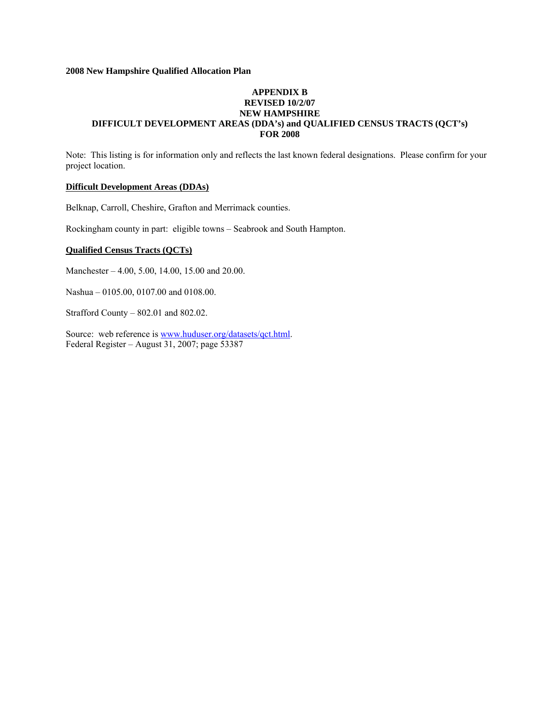## **APPENDIX B REVISED 10/2/07 NEW HAMPSHIRE DIFFICULT DEVELOPMENT AREAS (DDA's) and QUALIFIED CENSUS TRACTS (QCT's) FOR 2008**

Note: This listing is for information only and reflects the last known federal designations. Please confirm for your project location.

# **Difficult Development Areas (DDAs)**

Belknap, Carroll, Cheshire, Grafton and Merrimack counties.

Rockingham county in part: eligible towns – Seabrook and South Hampton.

### **Qualified Census Tracts (QCTs)**

Manchester – 4.00, 5.00, 14.00, 15.00 and 20.00.

Nashua – 0105.00, 0107.00 and 0108.00.

Strafford County – 802.01 and 802.02.

Source: web reference is [www.huduser.org/datasets/qct.html](http://www.huduser.org/datasets/qct.html). Federal Register – August 31, 2007; page 53387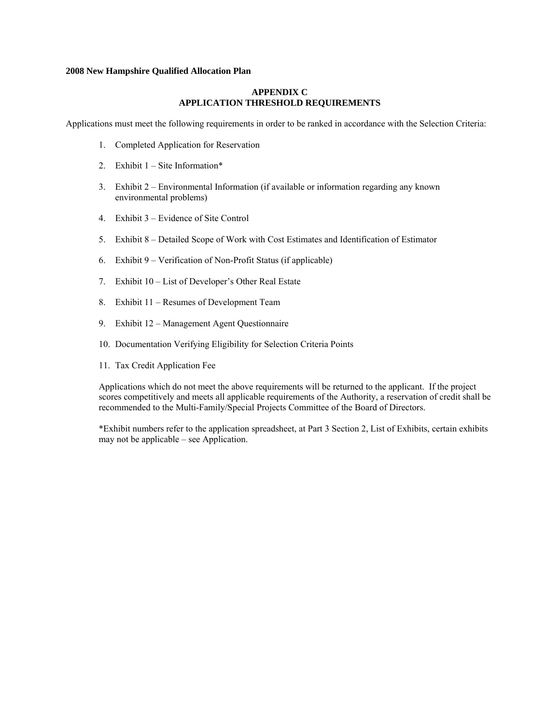## **APPENDIX C APPLICATION THRESHOLD REQUIREMENTS**

Applications must meet the following requirements in order to be ranked in accordance with the Selection Criteria:

- 1. Completed Application for Reservation
- 2. Exhibit 1 Site Information\*
- 3. Exhibit 2 Environmental Information (if available or information regarding any known environmental problems)
- 4. Exhibit 3 Evidence of Site Control
- 5. Exhibit 8 Detailed Scope of Work with Cost Estimates and Identification of Estimator
- 6. Exhibit 9 Verification of Non-Profit Status (if applicable)
- 7. Exhibit 10 List of Developer's Other Real Estate
- 8. Exhibit 11 Resumes of Development Team
- 9. Exhibit 12 Management Agent Questionnaire
- 10. Documentation Verifying Eligibility for Selection Criteria Points
- 11. Tax Credit Application Fee

Applications which do not meet the above requirements will be returned to the applicant. If the project scores competitively and meets all applicable requirements of the Authority, a reservation of credit shall be recommended to the Multi-Family/Special Projects Committee of the Board of Directors.

\*Exhibit numbers refer to the application spreadsheet, at Part 3 Section 2, List of Exhibits, certain exhibits may not be applicable – see Application.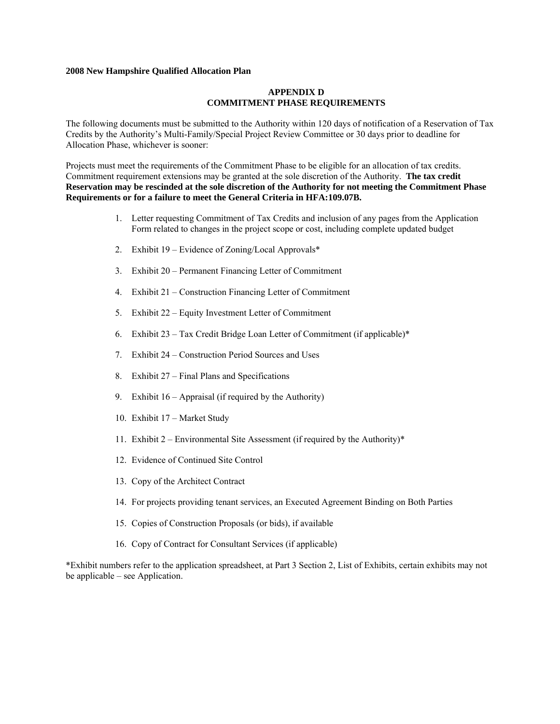### **APPENDIX D COMMITMENT PHASE REQUIREMENTS**

The following documents must be submitted to the Authority within 120 days of notification of a Reservation of Tax Credits by the Authority's Multi-Family/Special Project Review Committee or 30 days prior to deadline for Allocation Phase, whichever is sooner:

Projects must meet the requirements of the Commitment Phase to be eligible for an allocation of tax credits. Commitment requirement extensions may be granted at the sole discretion of the Authority. **The tax credit Reservation may be rescinded at the sole discretion of the Authority for not meeting the Commitment Phase Requirements or for a failure to meet the General Criteria in HFA:109.07B.**

- 1. Letter requesting Commitment of Tax Credits and inclusion of any pages from the Application Form related to changes in the project scope or cost, including complete updated budget
- 2. Exhibit 19 Evidence of Zoning/Local Approvals\*
- 3. Exhibit 20 Permanent Financing Letter of Commitment
- 4. Exhibit 21 Construction Financing Letter of Commitment
- 5. Exhibit 22 Equity Investment Letter of Commitment
- 6. Exhibit 23 Tax Credit Bridge Loan Letter of Commitment (if applicable)\*
- 7. Exhibit 24 Construction Period Sources and Uses
- 8. Exhibit 27 Final Plans and Specifications
- 9. Exhibit 16 Appraisal (if required by the Authority)
- 10. Exhibit 17 Market Study
- 11. Exhibit  $2$  Environmental Site Assessment (if required by the Authority)\*
- 12. Evidence of Continued Site Control
- 13. Copy of the Architect Contract
- 14. For projects providing tenant services, an Executed Agreement Binding on Both Parties
- 15. Copies of Construction Proposals (or bids), if available
- 16. Copy of Contract for Consultant Services (if applicable)

\*Exhibit numbers refer to the application spreadsheet, at Part 3 Section 2, List of Exhibits, certain exhibits may not be applicable – see Application.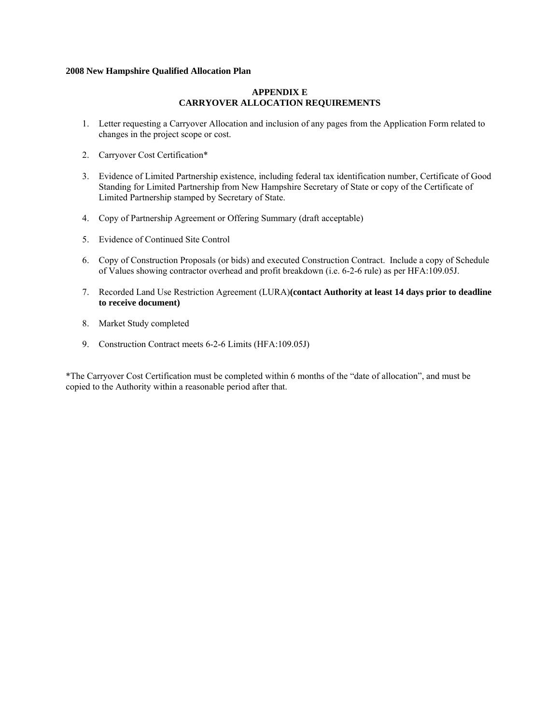## **APPENDIX E CARRYOVER ALLOCATION REQUIREMENTS**

- 1. Letter requesting a Carryover Allocation and inclusion of any pages from the Application Form related to changes in the project scope or cost.
- 2. Carryover Cost Certification\*
- 3. Evidence of Limited Partnership existence, including federal tax identification number, Certificate of Good Standing for Limited Partnership from New Hampshire Secretary of State or copy of the Certificate of Limited Partnership stamped by Secretary of State.
- 4. Copy of Partnership Agreement or Offering Summary (draft acceptable)
- 5. Evidence of Continued Site Control
- 6. Copy of Construction Proposals (or bids) and executed Construction Contract. Include a copy of Schedule of Values showing contractor overhead and profit breakdown (i.e. 6-2-6 rule) as per HFA:109.05J.
- 7. Recorded Land Use Restriction Agreement (LURA)**(contact Authority at least 14 days prior to deadline to receive document)**
- 8. Market Study completed
- 9. Construction Contract meets 6-2-6 Limits (HFA:109.05J)

\*The Carryover Cost Certification must be completed within 6 months of the "date of allocation", and must be copied to the Authority within a reasonable period after that.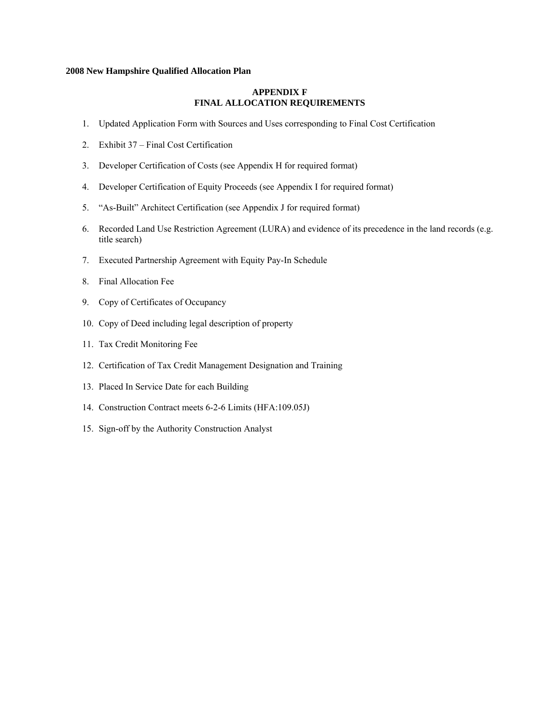## **APPENDIX F FINAL ALLOCATION REQUIREMENTS**

- 1. Updated Application Form with Sources and Uses corresponding to Final Cost Certification
- 2. Exhibit 37 Final Cost Certification
- 3. Developer Certification of Costs (see Appendix H for required format)
- 4. Developer Certification of Equity Proceeds (see Appendix I for required format)
- 5. "As-Built" Architect Certification (see Appendix J for required format)
- 6. Recorded Land Use Restriction Agreement (LURA) and evidence of its precedence in the land records (e.g. title search)
- 7. Executed Partnership Agreement with Equity Pay-In Schedule
- 8. Final Allocation Fee
- 9. Copy of Certificates of Occupancy
- 10. Copy of Deed including legal description of property
- 11. Tax Credit Monitoring Fee
- 12. Certification of Tax Credit Management Designation and Training
- 13. Placed In Service Date for each Building
- 14. Construction Contract meets 6-2-6 Limits (HFA:109.05J)
- 15. Sign-off by the Authority Construction Analyst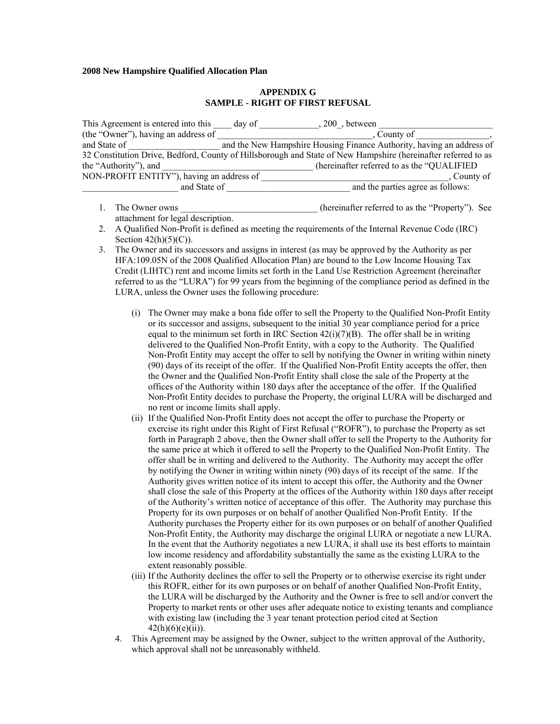### **APPENDIX G SAMPLE - RIGHT OF FIRST REFUSAL**

| This Agreement is entered into this                                                                           | day of | 200, between                                                          |           |
|---------------------------------------------------------------------------------------------------------------|--------|-----------------------------------------------------------------------|-----------|
| (the "Owner"), having an address of                                                                           |        | County of                                                             |           |
| and State of                                                                                                  |        | and the New Hampshire Housing Finance Authority, having an address of |           |
| 32 Constitution Drive, Bedford, County of Hillsborough and State of New Hampshire (hereinafter referred to as |        |                                                                       |           |
| the "Authority"), and                                                                                         |        | (hereinafter referred to as the "QUALIFIED")                          |           |
| NON-PROFIT ENTITY"), having an address of                                                                     |        |                                                                       | County of |
| and State of                                                                                                  |        | and the parties agree as follows:                                     |           |

- 1. The Owner owns the compact of the own state of the inferred to as the "Property"). See attachment for legal description.
- 2. A Qualified Non-Profit is defined as meeting the requirements of the Internal Revenue Code (IRC) Section  $42(h)(5)(C)$ .
- 3. The Owner and its successors and assigns in interest (as may be approved by the Authority as per HFA:109.05N of the 2008 Qualified Allocation Plan) are bound to the Low Income Housing Tax Credit (LIHTC) rent and income limits set forth in the Land Use Restriction Agreement (hereinafter referred to as the "LURA") for 99 years from the beginning of the compliance period as defined in the LURA, unless the Owner uses the following procedure:
	- (i) The Owner may make a bona fide offer to sell the Property to the Qualified Non-Profit Entity or its successor and assigns, subsequent to the initial 30 year compliance period for a price equal to the minimum set forth in IRC Section  $42(i)(7)(B)$ . The offer shall be in writing delivered to the Qualified Non-Profit Entity, with a copy to the Authority. The Qualified Non-Profit Entity may accept the offer to sell by notifying the Owner in writing within ninety (90) days of its receipt of the offer. If the Qualified Non-Profit Entity accepts the offer, then the Owner and the Qualified Non-Profit Entity shall close the sale of the Property at the offices of the Authority within 180 days after the acceptance of the offer. If the Qualified Non-Profit Entity decides to purchase the Property, the original LURA will be discharged and no rent or income limits shall apply.
	- (ii) If the Qualified Non-Profit Entity does not accept the offer to purchase the Property or exercise its right under this Right of First Refusal ("ROFR"), to purchase the Property as set forth in Paragraph 2 above, then the Owner shall offer to sell the Property to the Authority for the same price at which it offered to sell the Property to the Qualified Non-Profit Entity. The offer shall be in writing and delivered to the Authority. The Authority may accept the offer by notifying the Owner in writing within ninety (90) days of its receipt of the same. If the Authority gives written notice of its intent to accept this offer, the Authority and the Owner shall close the sale of this Property at the offices of the Authority within 180 days after receipt of the Authority's written notice of acceptance of this offer. The Authority may purchase this Property for its own purposes or on behalf of another Qualified Non-Profit Entity. If the Authority purchases the Property either for its own purposes or on behalf of another Qualified Non-Profit Entity, the Authority may discharge the original LURA or negotiate a new LURA. In the event that the Authority negotiates a new LURA, it shall use its best efforts to maintain low income residency and affordability substantially the same as the existing LURA to the extent reasonably possible.
	- (iii) If the Authority declines the offer to sell the Property or to otherwise exercise its right under this ROFR, either for its own purposes or on behalf of another Qualified Non-Profit Entity, the LURA will be discharged by the Authority and the Owner is free to sell and/or convert the Property to market rents or other uses after adequate notice to existing tenants and compliance with existing law (including the 3 year tenant protection period cited at Section  $42(h)(6)(e)(ii)$ ).
	- 4. This Agreement may be assigned by the Owner, subject to the written approval of the Authority, which approval shall not be unreasonably withheld.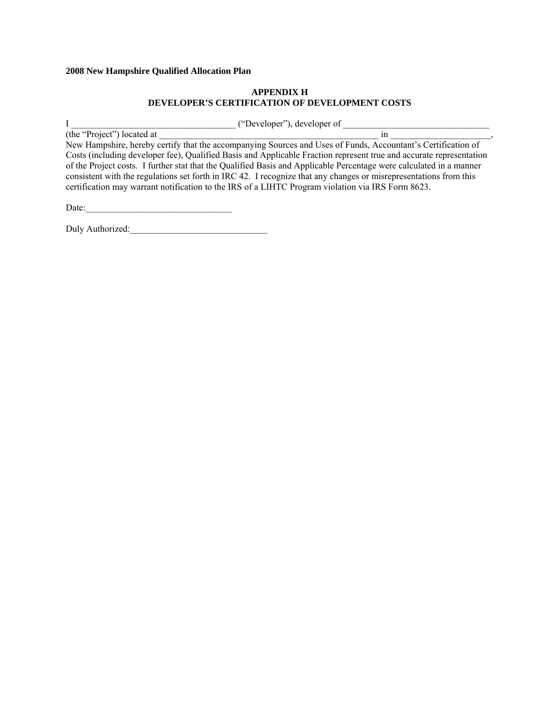## **APPENDIX H DEVELOPER'S CERTIFICATION OF DEVELOPMENT COSTS**

I contract the contract of the contract of the contract of the contract of the contract of the contract of the contract of the contract of the contract of the contract of the contract of the contract of the contract of the

 $(the "Project") located at$ New Hampshire, hereby certify that the accompanying Sources and Uses of Funds, Accountant's Certification of Costs (including developer fee), Qualified Basis and Applicable Fraction represent true and accurate representation of the Project costs. I further stat that the Qualified Basis and Applicable Percentage were calculated in a manner consistent with the regulations set forth in IRC 42. I recognize that any changes or misrepresentations from this certification may warrant notification to the IRS of a LIHTC Program violation via IRS Form 8623.

Date:\_\_\_\_\_\_\_\_\_\_\_\_\_\_\_\_\_\_\_\_\_\_\_\_\_\_\_\_\_\_\_\_

Duly Authorized: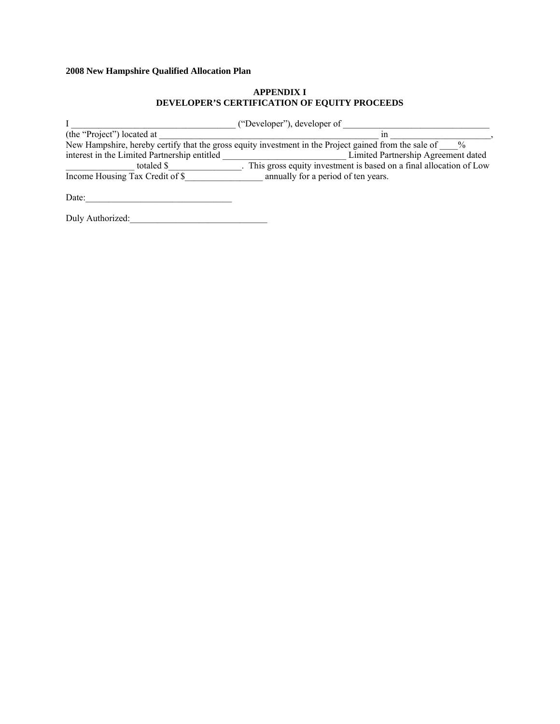# **APPENDIX I DEVELOPER'S CERTIFICATION OF EQUITY PROCEEDS**

|                                              | ("Developer"), developer of                                                                                            |
|----------------------------------------------|------------------------------------------------------------------------------------------------------------------------|
| (the "Project") located at                   | ın                                                                                                                     |
|                                              | New Hampshire, hereby certify that the gross equity investment in the Project gained from the sale of<br>$\frac{0}{0}$ |
| interest in the Limited Partnership entitled | Limited Partnership Agreement dated                                                                                    |
| totaled \$                                   | . This gross equity investment is based on a final allocation of Low                                                   |
| Income Housing Tax Credit of \$              | annually for a period of ten years.                                                                                    |
|                                              |                                                                                                                        |

Date:\_\_\_\_\_\_\_\_\_\_\_\_\_\_\_\_\_\_\_\_\_\_\_\_\_\_\_\_\_\_\_\_

Duly Authorized:\_\_\_\_\_\_\_\_\_\_\_\_\_\_\_\_\_\_\_\_\_\_\_\_\_\_\_\_\_\_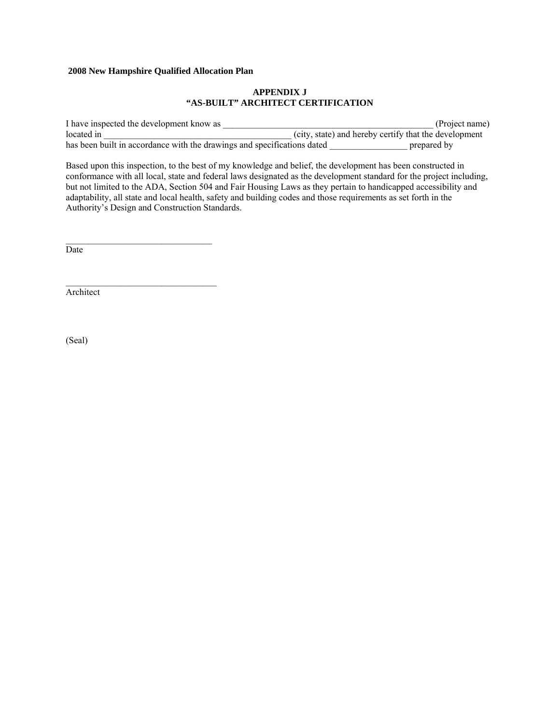## **APPENDIX J "AS-BUILT" ARCHITECT CERTIFICATION**

I have inspected the development know as  $(Project name)$ located in  $\qquad \qquad$  (city, state) and hereby certify that the development has been built in accordance with the drawings and specifications dated \_\_\_\_\_\_\_\_\_\_\_\_\_\_\_\_\_\_\_\_\_\_\_ prepared by

Based upon this inspection, to the best of my knowledge and belief, the development has been constructed in conformance with all local, state and federal laws designated as the development standard for the project including, but not limited to the ADA, Section 504 and Fair Housing Laws as they pertain to handicapped accessibility and adaptability, all state and local health, safety and building codes and those requirements as set forth in the Authority's Design and Construction Standards.

Date

Architect

(Seal)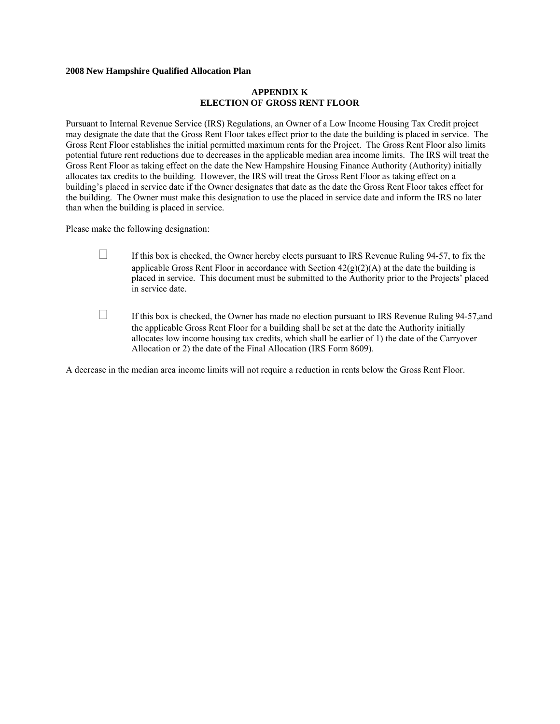#### **APPENDIX K ELECTION OF GROSS RENT FLOOR**

Pursuant to Internal Revenue Service (IRS) Regulations, an Owner of a Low Income Housing Tax Credit project may designate the date that the Gross Rent Floor takes effect prior to the date the building is placed in service. The Gross Rent Floor establishes the initial permitted maximum rents for the Project. The Gross Rent Floor also limits potential future rent reductions due to decreases in the applicable median area income limits. The IRS will treat the Gross Rent Floor as taking effect on the date the New Hampshire Housing Finance Authority (Authority) initially allocates tax credits to the building. However, the IRS will treat the Gross Rent Floor as taking effect on a building's placed in service date if the Owner designates that date as the date the Gross Rent Floor takes effect for the building. The Owner must make this designation to use the placed in service date and inform the IRS no later than when the building is placed in service.

Please make the following designation:

- $\Box$  If this box is checked, the Owner hereby elects pursuant to IRS Revenue Ruling 94-57, to fix the applicable Gross Rent Floor in accordance with Section  $42(g)(2)(A)$  at the date the building is placed in service. This document must be submitted to the Authority prior to the Projects' placed in service date.
- $\Box$  If this box is checked, the Owner has made no election pursuant to IRS Revenue Ruling 94-57, and the applicable Gross Rent Floor for a building shall be set at the date the Authority initially allocates low income housing tax credits, which shall be earlier of 1) the date of the Carryover Allocation or 2) the date of the Final Allocation (IRS Form 8609).

A decrease in the median area income limits will not require a reduction in rents below the Gross Rent Floor.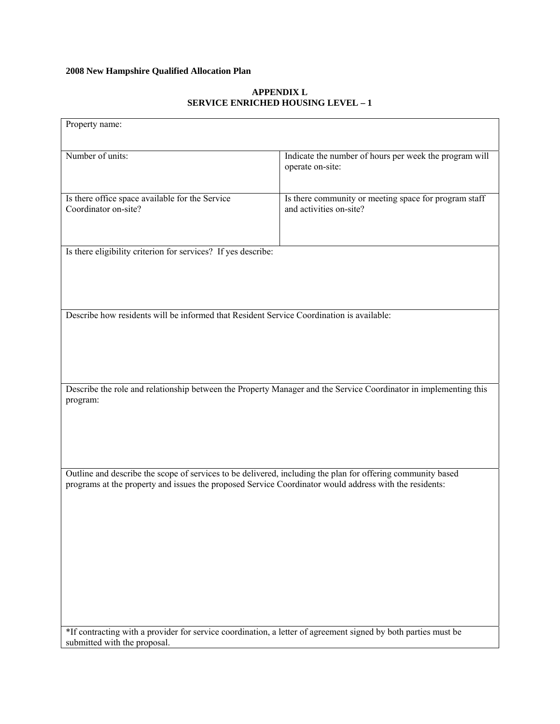# **APPENDIX L SERVICE ENRICHED HOUSING LEVEL – 1**

|                                                                                                        | Indicate the number of hours per week the program will<br>operate on-site:                                       |
|--------------------------------------------------------------------------------------------------------|------------------------------------------------------------------------------------------------------------------|
| Is there office space available for the Service<br>Coordinator on-site?                                | Is there community or meeting space for program staff<br>and activities on-site?                                 |
| Is there eligibility criterion for services? If yes describe:                                          |                                                                                                                  |
| Describe how residents will be informed that Resident Service Coordination is available:               |                                                                                                                  |
|                                                                                                        | Describe the role and relationship between the Property Manager and the Service Coordinator in implementing this |
| program:                                                                                               |                                                                                                                  |
| programs at the property and issues the proposed Service Coordinator would address with the residents: | Outline and describe the scope of services to be delivered, including the plan for offering community based      |
|                                                                                                        |                                                                                                                  |
|                                                                                                        |                                                                                                                  |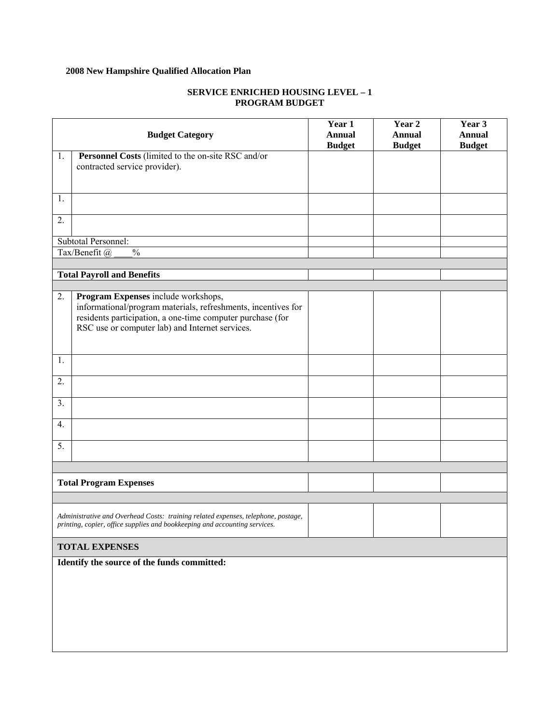# **SERVICE ENRICHED HOUSING LEVEL – 1 PROGRAM BUDGET**

|    | <b>Budget Category</b>                                                            | Year 1<br><b>Annual</b><br><b>Budget</b> | Year 2<br><b>Annual</b><br><b>Budget</b> | Year 3<br><b>Annual</b><br><b>Budget</b> |
|----|-----------------------------------------------------------------------------------|------------------------------------------|------------------------------------------|------------------------------------------|
| 1. | Personnel Costs (limited to the on-site RSC and/or                                |                                          |                                          |                                          |
|    | contracted service provider).                                                     |                                          |                                          |                                          |
|    |                                                                                   |                                          |                                          |                                          |
|    |                                                                                   |                                          |                                          |                                          |
| 1. |                                                                                   |                                          |                                          |                                          |
|    |                                                                                   |                                          |                                          |                                          |
| 2. |                                                                                   |                                          |                                          |                                          |
|    |                                                                                   |                                          |                                          |                                          |
|    | Subtotal Personnel:                                                               |                                          |                                          |                                          |
|    | $\overline{\frac{0}{0}}$<br>Tax/Benefit @                                         |                                          |                                          |                                          |
|    |                                                                                   |                                          |                                          |                                          |
|    | <b>Total Payroll and Benefits</b>                                                 |                                          |                                          |                                          |
|    |                                                                                   |                                          |                                          |                                          |
| 2. | Program Expenses include workshops,                                               |                                          |                                          |                                          |
|    | informational/program materials, refreshments, incentives for                     |                                          |                                          |                                          |
|    | residents participation, a one-time computer purchase (for                        |                                          |                                          |                                          |
|    | RSC use or computer lab) and Internet services.                                   |                                          |                                          |                                          |
|    |                                                                                   |                                          |                                          |                                          |
| 1. |                                                                                   |                                          |                                          |                                          |
|    |                                                                                   |                                          |                                          |                                          |
| 2. |                                                                                   |                                          |                                          |                                          |
|    |                                                                                   |                                          |                                          |                                          |
| 3. |                                                                                   |                                          |                                          |                                          |
|    |                                                                                   |                                          |                                          |                                          |
| 4. |                                                                                   |                                          |                                          |                                          |
|    |                                                                                   |                                          |                                          |                                          |
| 5. |                                                                                   |                                          |                                          |                                          |
|    |                                                                                   |                                          |                                          |                                          |
|    |                                                                                   |                                          |                                          |                                          |
|    | <b>Total Program Expenses</b>                                                     |                                          |                                          |                                          |
|    |                                                                                   |                                          |                                          |                                          |
|    |                                                                                   |                                          |                                          |                                          |
|    | Administrative and Overhead Costs: training related expenses, telephone, postage, |                                          |                                          |                                          |
|    | printing, copier, office supplies and bookkeeping and accounting services.        |                                          |                                          |                                          |
|    |                                                                                   |                                          |                                          |                                          |
|    | <b>TOTAL EXPENSES</b>                                                             |                                          |                                          |                                          |
|    | Identify the source of the funds committed:                                       |                                          |                                          |                                          |
|    |                                                                                   |                                          |                                          |                                          |
|    |                                                                                   |                                          |                                          |                                          |
|    |                                                                                   |                                          |                                          |                                          |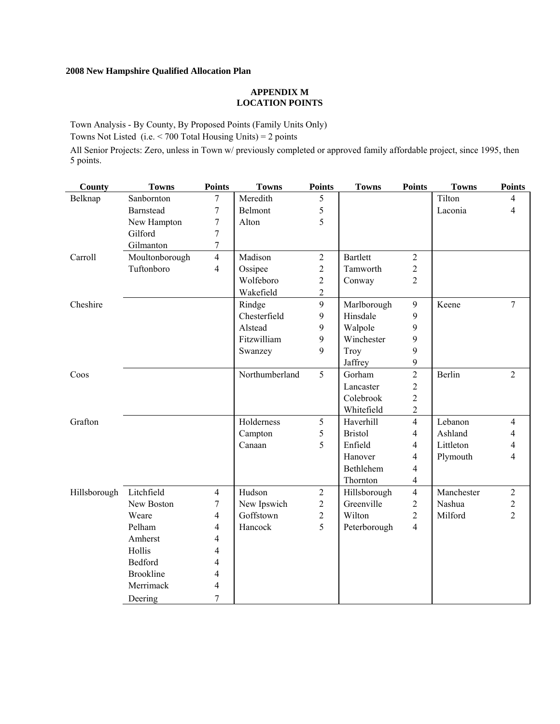### **APPENDIX M LOCATION POINTS**

Town Analysis - By County, By Proposed Points (Family Units Only)

Towns Not Listed (i.e.  $<$  700 Total Housing Units) = 2 points

All Senior Projects: Zero, unless in Town w/ previously completed or approved family affordable project, since 1995, then 5 points.

| County       | <b>Towns</b>     | <b>Points</b>    | <b>Towns</b>   | <b>Points</b>  | <b>Towns</b>    | <b>Points</b>           | <b>Towns</b> | <b>Points</b>  |
|--------------|------------------|------------------|----------------|----------------|-----------------|-------------------------|--------------|----------------|
| Belknap      | Sanbornton       | 7                | Meredith       | 5              |                 |                         | Tilton       | 4              |
|              | Barnstead        | 7                | Belmont        | 5              |                 |                         | Laconia      | $\overline{4}$ |
|              | New Hampton      | $\tau$           | Alton          | 5              |                 |                         |              |                |
|              | Gilford          | $\boldsymbol{7}$ |                |                |                 |                         |              |                |
|              | Gilmanton        | $\boldsymbol{7}$ |                |                |                 |                         |              |                |
| Carroll      | Moultonborough   | $\overline{4}$   | Madison        | $\overline{2}$ | <b>Bartlett</b> | $\overline{2}$          |              |                |
|              | Tuftonboro       | $\overline{4}$   | Ossipee        | $\overline{c}$ | Tamworth        | $\overline{c}$          |              |                |
|              |                  |                  | Wolfeboro      | 2              | Conway          | $\overline{2}$          |              |                |
|              |                  |                  | Wakefield      | $\overline{2}$ |                 |                         |              |                |
| Cheshire     |                  |                  | Rindge         | 9              | Marlborough     | 9                       | Keene        | $\overline{7}$ |
|              |                  |                  | Chesterfield   | 9              | Hinsdale        | 9                       |              |                |
|              |                  |                  | Alstead        | 9              | Walpole         | 9                       |              |                |
|              |                  |                  | Fitzwilliam    | 9              | Winchester      | 9                       |              |                |
|              |                  |                  | Swanzey        | 9              | Troy            | 9                       |              |                |
|              |                  |                  |                |                | Jaffrey         | 9                       |              |                |
| Coos         |                  |                  | Northumberland | 5              | Gorham          | $\overline{2}$          | Berlin       | $\overline{2}$ |
|              |                  |                  |                |                | Lancaster       | $\overline{2}$          |              |                |
|              |                  |                  |                |                | Colebrook       | $\overline{c}$          |              |                |
|              |                  |                  |                |                | Whitefield      | $\overline{c}$          |              |                |
| Grafton      |                  |                  | Holderness     | 5              | Haverhill       | $\overline{\mathbf{4}}$ | Lebanon      | 4              |
|              |                  |                  | Campton        | 5              | <b>Bristol</b>  | 4                       | Ashland      | 4              |
|              |                  |                  | Canaan         | 5              | Enfield         | 4                       | Littleton    | 4              |
|              |                  |                  |                |                | Hanover         | 4                       | Plymouth     | 4              |
|              |                  |                  |                |                | Bethlehem       | 4                       |              |                |
|              |                  |                  |                |                | Thornton        | 4                       |              |                |
| Hillsborough | Litchfield       | $\overline{4}$   | Hudson         | $\overline{2}$ | Hillsborough    | $\overline{\mathbf{4}}$ | Manchester   | $\overline{2}$ |
|              | New Boston       | $\tau$           | New Ipswich    | $\overline{2}$ | Greenville      | $\overline{c}$          | Nashua       | $\overline{c}$ |
|              | Weare            | $\overline{4}$   | Goffstown      | $\overline{2}$ | Wilton          | $\overline{c}$          | Milford      | $\overline{2}$ |
|              | Pelham           | $\overline{4}$   | Hancock        | 5              | Peterborough    | $\overline{\mathbf{4}}$ |              |                |
|              | Amherst          | $\overline{4}$   |                |                |                 |                         |              |                |
|              | Hollis           | $\overline{4}$   |                |                |                 |                         |              |                |
|              | Bedford          | 4                |                |                |                 |                         |              |                |
|              | <b>Brookline</b> | $\overline{4}$   |                |                |                 |                         |              |                |
|              | Merrimack        | $\overline{4}$   |                |                |                 |                         |              |                |
|              | Deering          | $\overline{7}$   |                |                |                 |                         |              |                |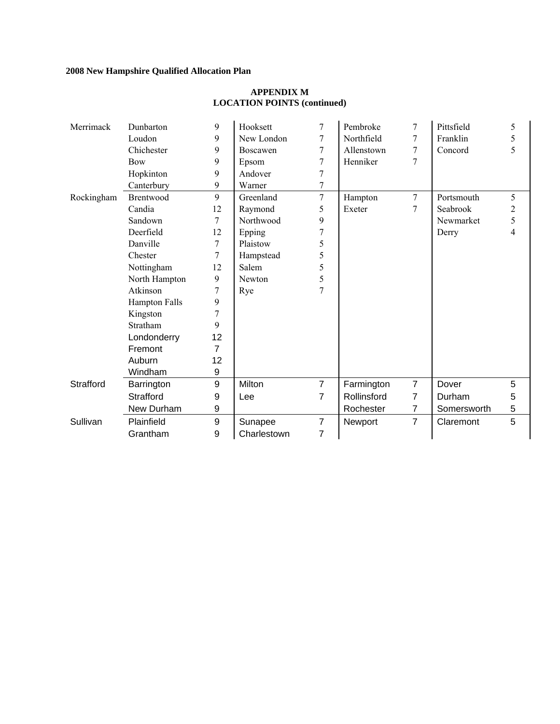| Merrimack  | Dunbarton            | 9  | Hooksett    | 7              | Pembroke    | 7              | Pittsfield  | 5 |
|------------|----------------------|----|-------------|----------------|-------------|----------------|-------------|---|
|            | Loudon               | 9  | New London  | 7              | Northfield  | 7              | Franklin    | 5 |
|            | Chichester           | 9  | Boscawen    | $\tau$         | Allenstown  | 7              | Concord     | 5 |
|            | <b>Bow</b>           | 9  | Epsom       |                | Henniker    | 7              |             |   |
|            | Hopkinton            | 9  | Andover     | 7              |             |                |             |   |
|            | Canterbury           | 9  | Warner      | $\overline{7}$ |             |                |             |   |
| Rockingham | Brentwood            | 9  | Greenland   | 7              | Hampton     | $\overline{7}$ | Portsmouth  | 5 |
|            | Candia               | 12 | Raymond     | 5              | Exeter      | 7              | Seabrook    | 2 |
|            | Sandown              | 7  | Northwood   | 9              |             |                | Newmarket   | 5 |
|            | Deerfield            | 12 | Epping      |                |             |                | Derry       | 4 |
|            | Danville             | 7  | Plaistow    | 5              |             |                |             |   |
|            | Chester              | 7  | Hampstead   | 5              |             |                |             |   |
|            | Nottingham           | 12 | Salem       | 5              |             |                |             |   |
|            | North Hampton        | 9  | Newton      | 5              |             |                |             |   |
|            | Atkinson             | 7  | Rye         | 7              |             |                |             |   |
|            | <b>Hampton Falls</b> | 9  |             |                |             |                |             |   |
|            | Kingston             |    |             |                |             |                |             |   |
|            | Stratham             | 9  |             |                |             |                |             |   |
|            | Londonderry          | 12 |             |                |             |                |             |   |
|            | Fremont              | 7  |             |                |             |                |             |   |
|            | Auburn               | 12 |             |                |             |                |             |   |
|            | Windham              | 9  |             |                |             |                |             |   |
| Strafford  | Barrington           | 9  | Milton      | $\overline{7}$ | Farmington  | $\overline{7}$ | Dover       | 5 |
|            | Strafford            | 9  | Lee         | 7              | Rollinsford | 7              | Durham      | 5 |
|            | New Durham           | 9  |             |                | Rochester   | 7              | Somersworth | 5 |
| Sullivan   | Plainfield           | 9  | Sunapee     | $\overline{7}$ | Newport     | $\overline{7}$ | Claremont   | 5 |
|            | Grantham             | 9  | Charlestown | 7              |             |                |             |   |

# **APPENDIX M LOCATION POINTS (continued)**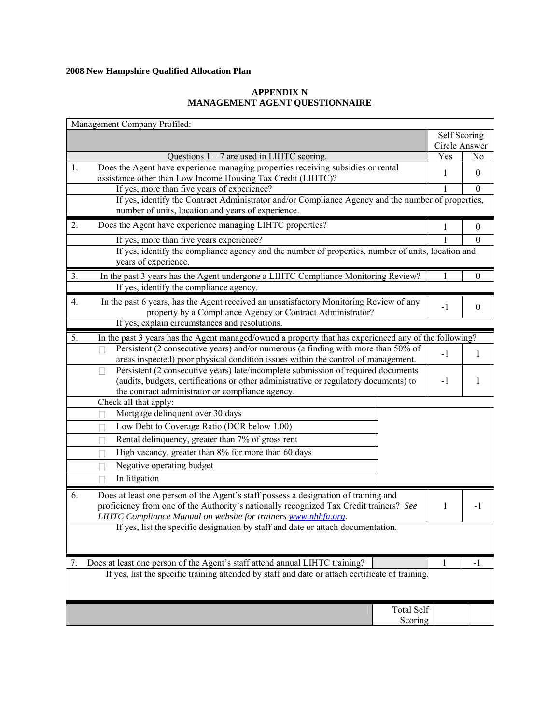# **APPENDIX N MANAGEMENT AGENT QUESTIONNAIRE**

|    | Management Company Profiled:                                                                                                                                                                                                                    |               |                  |
|----|-------------------------------------------------------------------------------------------------------------------------------------------------------------------------------------------------------------------------------------------------|---------------|------------------|
|    |                                                                                                                                                                                                                                                 | Self Scoring  |                  |
|    |                                                                                                                                                                                                                                                 | Circle Answer |                  |
|    | Questions $1 - 7$ are used in LIHTC scoring.                                                                                                                                                                                                    | Yes           | No               |
| 1. | Does the Agent have experience managing properties receiving subsidies or rental<br>assistance other than Low Income Housing Tax Credit (LIHTC)?                                                                                                | 1             | $\mathbf{0}$     |
|    | If yes, more than five years of experience?                                                                                                                                                                                                     | $\mathbf{1}$  | $\boldsymbol{0}$ |
|    | If yes, identify the Contract Administrator and/or Compliance Agency and the number of properties,                                                                                                                                              |               |                  |
|    | number of units, location and years of experience.                                                                                                                                                                                              |               |                  |
| 2. | Does the Agent have experience managing LIHTC properties?                                                                                                                                                                                       | 1             | $\boldsymbol{0}$ |
|    | If yes, more than five years experience?                                                                                                                                                                                                        |               | $\mathbf{0}$     |
|    | If yes, identify the compliance agency and the number of properties, number of units, location and<br>years of experience.                                                                                                                      |               |                  |
| 3. | In the past 3 years has the Agent undergone a LIHTC Compliance Monitoring Review?                                                                                                                                                               | 1             | $\mathbf{0}$     |
|    | If yes, identify the compliance agency.                                                                                                                                                                                                         |               |                  |
| 4. | In the past 6 years, has the Agent received an unsatisfactory Monitoring Review of any<br>property by a Compliance Agency or Contract Administrator?                                                                                            | $-1$          | $\boldsymbol{0}$ |
|    | If yes, explain circumstances and resolutions.                                                                                                                                                                                                  |               |                  |
| 5. | In the past 3 years has the Agent managed/owned a property that has experienced any of the following?                                                                                                                                           |               |                  |
|    | Persistent (2 consecutive years) and/or numerous (a finding with more than 50% of<br>П<br>areas inspected) poor physical condition issues within the control of management.                                                                     | $-1$          | 1                |
|    | Persistent (2 consecutive years) late/incomplete submission of required documents                                                                                                                                                               |               |                  |
|    | Ш<br>(audits, budgets, certifications or other administrative or regulatory documents) to<br>the contract administrator or compliance agency.                                                                                                   | $-1$          | 1                |
|    | Check all that apply:                                                                                                                                                                                                                           |               |                  |
|    | Mortgage delinquent over 30 days                                                                                                                                                                                                                |               |                  |
|    | Low Debt to Coverage Ratio (DCR below 1.00)<br>П                                                                                                                                                                                                |               |                  |
|    | Rental delinquency, greater than 7% of gross rent<br>П                                                                                                                                                                                          |               |                  |
|    | High vacancy, greater than 8% for more than 60 days<br>$\mathbf{L}$                                                                                                                                                                             |               |                  |
|    | Negative operating budget                                                                                                                                                                                                                       |               |                  |
|    | $\mathbf{L}$                                                                                                                                                                                                                                    |               |                  |
|    | In litigation<br>П                                                                                                                                                                                                                              |               |                  |
| 6. | Does at least one person of the Agent's staff possess a designation of training and<br>proficiency from one of the Authority's nationally recognized Tax Credit trainers? See<br>LIHTC Compliance Manual on website for trainers www.nhhfa.org. | 1             | $-1$             |
|    | If yes, list the specific designation by staff and date or attach documentation.                                                                                                                                                                |               |                  |
|    |                                                                                                                                                                                                                                                 |               |                  |
| 7. | Does at least one person of the Agent's staff attend annual LIHTC training?                                                                                                                                                                     | 1             | -1               |
|    | If yes, list the specific training attended by staff and date or attach certificate of training.                                                                                                                                                |               |                  |
|    | <b>Total Self</b>                                                                                                                                                                                                                               |               |                  |
|    | Scoring                                                                                                                                                                                                                                         |               |                  |